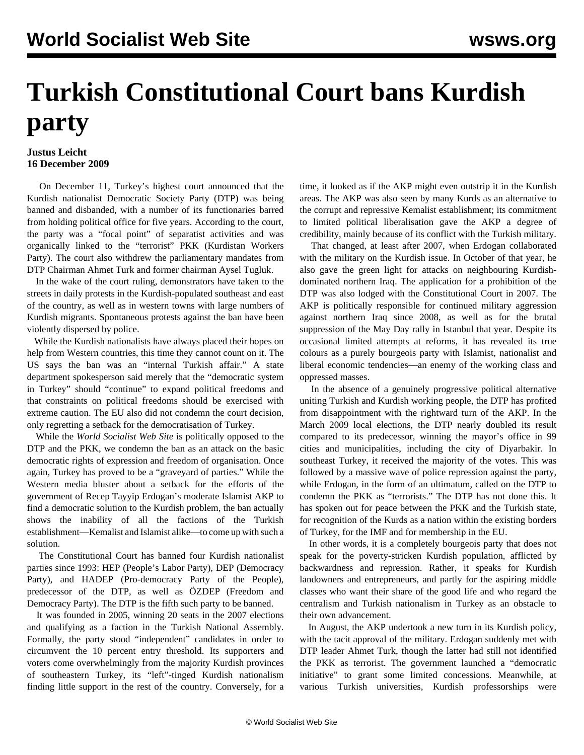## **Turkish Constitutional Court bans Kurdish party**

## **Justus Leicht 16 December 2009**

 On December 11, Turkey's highest court announced that the Kurdish nationalist Democratic Society Party (DTP) was being banned and disbanded, with a number of its functionaries barred from holding political office for five years. According to the court, the party was a "focal point" of separatist activities and was organically linked to the "terrorist" PKK (Kurdistan Workers Party). The court also withdrew the parliamentary mandates from DTP Chairman Ahmet Turk and former chairman Aysel Tugluk.

 In the wake of the court ruling, demonstrators have taken to the streets in daily protests in the Kurdish-populated southeast and east of the country, as well as in western towns with large numbers of Kurdish migrants. Spontaneous protests against the ban have been violently dispersed by police.

 While the Kurdish nationalists have always placed their hopes on help from Western countries, this time they cannot count on it. The US says the ban was an "internal Turkish affair." A state department spokesperson said merely that the "democratic system in Turkey" should "continue" to expand political freedoms and that constraints on political freedoms should be exercised with extreme caution. The EU also did not condemn the court decision, only regretting a setback for the democratisation of Turkey.

 While the *World Socialist Web Site* is politically opposed to the DTP and the PKK, we condemn the ban as an attack on the basic democratic rights of expression and freedom of organisation. Once again, Turkey has proved to be a "graveyard of parties." While the Western media bluster about a setback for the efforts of the government of Recep Tayyip Erdogan's moderate Islamist AKP to find a democratic solution to the Kurdish problem, the ban actually shows the inability of all the factions of the Turkish establishment—Kemalist and Islamist alike—to come up with such a solution.

 The Constitutional Court has banned four Kurdish nationalist parties since 1993: HEP (People's Labor Party), DEP (Democracy Party), and HADEP (Pro-democracy Party of the People), predecessor of the DTP, as well as ÖZDEP (Freedom and Democracy Party). The DTP is the fifth such party to be banned.

 It was founded in 2005, winning 20 seats in the 2007 elections and qualifying as a faction in the Turkish National Assembly. Formally, the party stood "independent" candidates in order to circumvent the 10 percent entry threshold. Its supporters and voters come overwhelmingly from the majority Kurdish provinces of southeastern Turkey, its "left"-tinged Kurdish nationalism finding little support in the rest of the country. Conversely, for a

time, it looked as if the AKP might even outstrip it in the Kurdish areas. The AKP was also seen by many Kurds as an alternative to the corrupt and repressive Kemalist establishment; its commitment to limited political liberalisation gave the AKP a degree of credibility, mainly because of its conflict with the Turkish military.

 That changed, at least after 2007, when Erdogan collaborated with the military on the Kurdish issue. In October of that year, he also gave the green light for attacks on neighbouring Kurdishdominated northern Iraq. The application for a prohibition of the DTP was also lodged with the Constitutional Court in 2007. The AKP is politically responsible for continued military aggression against northern Iraq since 2008, as well as for the brutal suppression of the May Day rally in Istanbul that year. Despite its occasional limited attempts at reforms, it has revealed its true colours as a purely bourgeois party with Islamist, nationalist and liberal economic tendencies—an enemy of the working class and oppressed masses.

 In the absence of a genuinely progressive political alternative uniting Turkish and Kurdish working people, the DTP has profited from disappointment with the rightward turn of the AKP. In the March 2009 local elections, the DTP nearly doubled its result compared to its predecessor, winning the mayor's office in 99 cities and municipalities, including the city of Diyarbakir. In southeast Turkey, it received the majority of the votes. This was followed by a massive wave of police repression against the party, while Erdogan, in the form of an ultimatum, called on the DTP to condemn the PKK as "terrorists." The DTP has not done this. It has spoken out for peace between the PKK and the Turkish state, for recognition of the Kurds as a nation within the existing borders of Turkey, for the IMF and for membership in the EU.

 In other words, it is a completely bourgeois party that does not speak for the poverty-stricken Kurdish population, afflicted by backwardness and repression. Rather, it speaks for Kurdish landowners and entrepreneurs, and partly for the aspiring middle classes who want their share of the good life and who regard the centralism and Turkish nationalism in Turkey as an obstacle to their own advancement.

 In August, the AKP undertook a new turn in its Kurdish policy, with the tacit approval of the military. Erdogan suddenly met with DTP leader Ahmet Turk, though the latter had still not identified the PKK as terrorist. The government launched a "democratic initiative" to grant some limited concessions. Meanwhile, at various Turkish universities, Kurdish professorships were